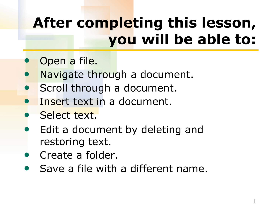# **After completing this lesson, you will be able to:**

- Open a file.
- Navigate through a document.
- Scroll through a document.
- Insert text in a document.
- **Select text.**
- Edit a document by deleting and restoring text.
- Create a folder.
- Save a file with a different name.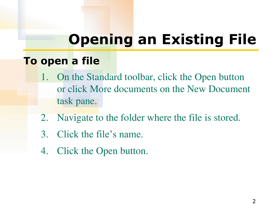### **Opening an Existing File**

#### **To open a file**

- 1. On the Standard toolbar, click the Open button or click More documents on the New Document task pane.
- 2. Navigate to the folder where the file is stored.
- 3. Click the file's name.
- 4. Click the Open button.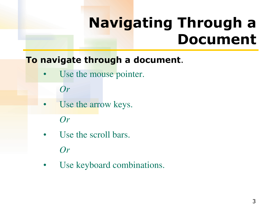### **Navigating Through a Document**

#### **To navigate through a document**.

Use the mouse pointer.

*Or*

Use the arrow keys.

*Or*

Use the scroll bars.

*Or*

Use keyboard combinations.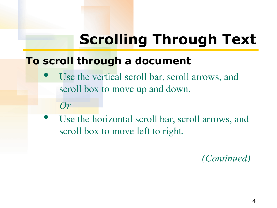# **Scrolling Through Text**

#### **To scroll through a document**

- Use the vertical scroll bar, scroll arrows, and scroll box to move up and down.
	- *Or*
- Use the horizontal scroll bar, scroll arrows, and scroll box to move left to right.

*(Continued)*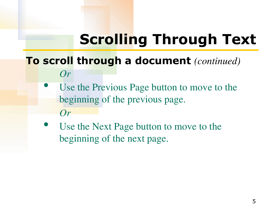# **Scrolling Through Text**

#### **To scroll through a document** *(continued) Or*

- Use the Previous Page button to move to the beginning of the previous page. *Or*
- Use the Next Page button to move to the beginning of the next page.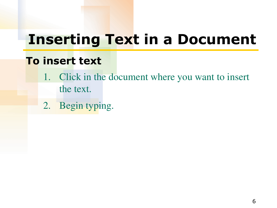### **Inserting Text in a Document**

#### **To insert text**

- 1. Click in the document where you want to insert the text.
- 2. Begin typing.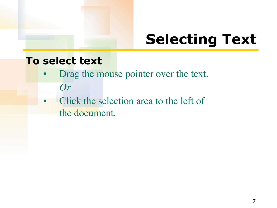### **Selecting Text**

#### **To select text**

- Drag the mouse pointer over the text. *Or*
- Click the selection area to the left of the document.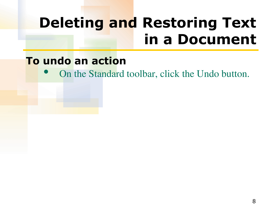### **Deleting and Restoring Text in a Document**

#### **To undo an action**

• On the Standard toolbar, click the Undo button.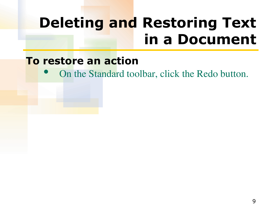### **Deleting and Restoring Text in a Document**

#### **To restore an action**

• On the Standard toolbar, click the Redo button.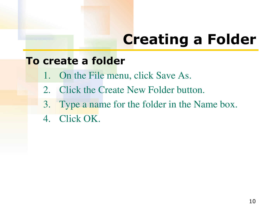# **Creating a Folder**

#### **To create a folder**

- 1. On the File menu, click Save As.
- 2. Click the Create New Folder button.
- 3. Type a name for the folder in the Name box.
- 4. Click OK.